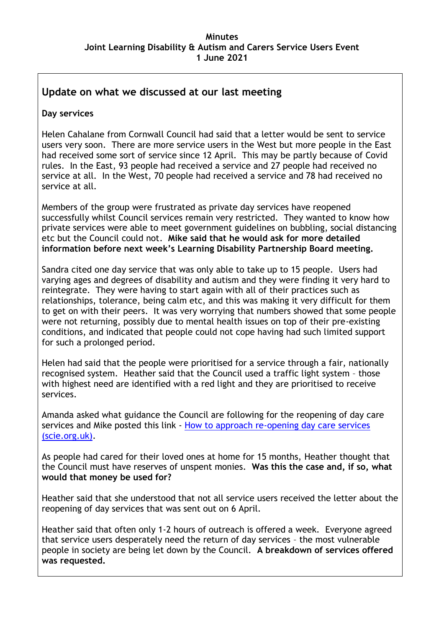# **Update on what we discussed at our last meeting**

### **Day services**

Helen Cahalane from Cornwall Council had said that a letter would be sent to service users very soon. There are more service users in the West but more people in the East had received some sort of service since 12 April. This may be partly because of Covid rules. In the East, 93 people had received a service and 27 people had received no service at all. In the West, 70 people had received a service and 78 had received no service at all.

Members of the group were frustrated as private day services have reopened successfully whilst Council services remain very restricted. They wanted to know how private services were able to meet government guidelines on bubbling, social distancing etc but the Council could not. **Mike said that he would ask for more detailed information before next week's Learning Disability Partnership Board meeting.**

Sandra cited one day service that was only able to take up to 15 people. Users had varying ages and degrees of disability and autism and they were finding it very hard to reintegrate. They were having to start again with all of their practices such as relationships, tolerance, being calm etc, and this was making it very difficult for them to get on with their peers. It was very worrying that numbers showed that some people were not returning, possibly due to mental health issues on top of their pre-existing conditions, and indicated that people could not cope having had such limited support for such a prolonged period.

Helen had said that the people were prioritised for a service through a fair, nationally recognised system. Heather said that the Council used a traffic light system – those with highest need are identified with a red light and they are prioritised to receive services.

Amanda asked what guidance the Council are following for the reopening of day care services and Mike posted this link - How to approach re-opening day care services [\(scie.org.uk\).](https://www.scie.org.uk/care-providers/coronavirus-covid-19/day-care/safe-delivery/re-opening)

As people had cared for their loved ones at home for 15 months, Heather thought that the Council must have reserves of unspent monies. **Was this the case and, if so, what would that money be used for?**

Heather said that she understood that not all service users received the letter about the reopening of day services that was sent out on 6 April.

Heather said that often only 1-2 hours of outreach is offered a week. Everyone agreed that service users desperately need the return of day services – the most vulnerable people in society are being let down by the Council. **A breakdown of services offered was requested.**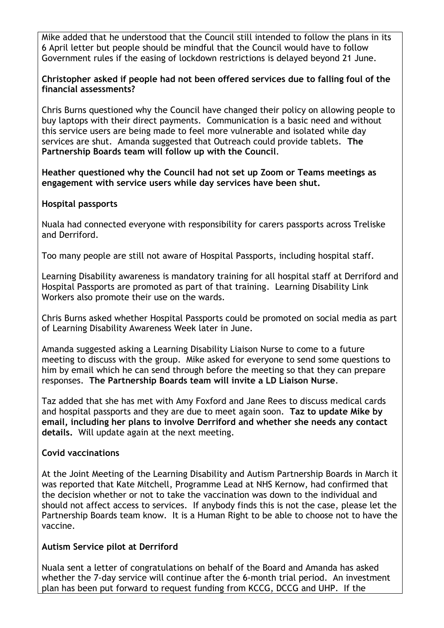Mike added that he understood that the Council still intended to follow the plans in its 6 April letter but people should be mindful that the Council would have to follow Government rules if the easing of lockdown restrictions is delayed beyond 21 June.

#### **Christopher asked if people had not been offered services due to falling foul of the financial assessments?**

Chris Burns questioned why the Council have changed their policy on allowing people to buy laptops with their direct payments. Communication is a basic need and without this service users are being made to feel more vulnerable and isolated while day services are shut. Amanda suggested that Outreach could provide tablets. **The Partnership Boards team will follow up with the Council**.

**Heather questioned why the Council had not set up Zoom or Teams meetings as engagement with service users while day services have been shut.**

#### **Hospital passports**

Nuala had connected everyone with responsibility for carers passports across Treliske and Derriford.

Too many people are still not aware of Hospital Passports, including hospital staff.

Learning Disability awareness is mandatory training for all hospital staff at Derriford and Hospital Passports are promoted as part of that training. Learning Disability Link Workers also promote their use on the wards.

Chris Burns asked whether Hospital Passports could be promoted on social media as part of Learning Disability Awareness Week later in June.

Amanda suggested asking a Learning Disability Liaison Nurse to come to a future meeting to discuss with the group. Mike asked for everyone to send some questions to him by email which he can send through before the meeting so that they can prepare responses. **The Partnership Boards team will invite a LD Liaison Nurse**.

Taz added that she has met with Amy Foxford and Jane Rees to discuss medical cards and hospital passports and they are due to meet again soon. **Taz to update Mike by email, including her plans to involve Derriford and whether she needs any contact details.** Will update again at the next meeting.

### **Covid vaccinations**

At the Joint Meeting of the Learning Disability and Autism Partnership Boards in March it was reported that Kate Mitchell, Programme Lead at NHS Kernow, had confirmed that the decision whether or not to take the vaccination was down to the individual and should not affect access to services. If anybody finds this is not the case, please let the Partnership Boards team know. It is a Human Right to be able to choose not to have the vaccine.

### **Autism Service pilot at Derriford**

Nuala sent a letter of congratulations on behalf of the Board and Amanda has asked whether the 7-day service will continue after the 6-month trial period. An investment plan has been put forward to request funding from KCCG, DCCG and UHP. If the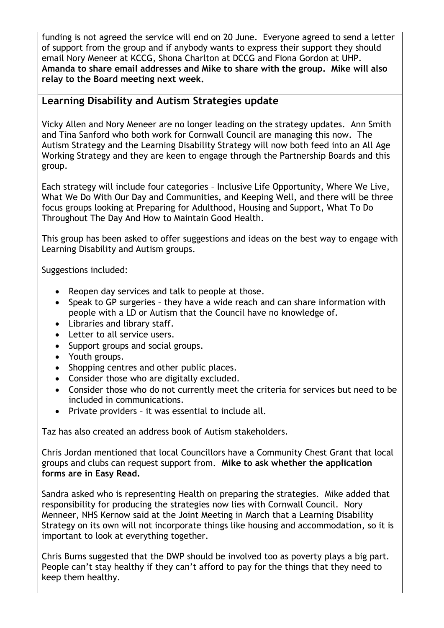funding is not agreed the service will end on 20 June. Everyone agreed to send a letter of support from the group and if anybody wants to express their support they should email Nory Meneer at KCCG, Shona Charlton at DCCG and Fiona Gordon at UHP. **Amanda to share email addresses and Mike to share with the group. Mike will also relay to the Board meeting next week.**

# **Learning Disability and Autism Strategies update**

Vicky Allen and Nory Meneer are no longer leading on the strategy updates. Ann Smith and Tina Sanford who both work for Cornwall Council are managing this now. The Autism Strategy and the Learning Disability Strategy will now both feed into an All Age Working Strategy and they are keen to engage through the Partnership Boards and this group.

Each strategy will include four categories – Inclusive Life Opportunity, Where We Live, What We Do With Our Day and Communities, and Keeping Well, and there will be three focus groups looking at Preparing for Adulthood, Housing and Support, What To Do Throughout The Day And How to Maintain Good Health.

This group has been asked to offer suggestions and ideas on the best way to engage with Learning Disability and Autism groups.

Suggestions included:

- Reopen day services and talk to people at those.
- Speak to GP surgeries they have a wide reach and can share information with people with a LD or Autism that the Council have no knowledge of.
- Libraries and library staff.
- Letter to all service users.
- Support groups and social groups.
- Youth groups.
- Shopping centres and other public places.
- Consider those who are digitally excluded.
- Consider those who do not currently meet the criteria for services but need to be included in communications.
- Private providers it was essential to include all.

Taz has also created an address book of Autism stakeholders.

Chris Jordan mentioned that local Councillors have a Community Chest Grant that local groups and clubs can request support from. **Mike to ask whether the application forms are in Easy Read.**

Sandra asked who is representing Health on preparing the strategies. Mike added that responsibility for producing the strategies now lies with Cornwall Council. Nory Menneer, NHS Kernow said at the Joint Meeting in March that a Learning Disability Strategy on its own will not incorporate things like housing and accommodation, so it is important to look at everything together.

Chris Burns suggested that the DWP should be involved too as poverty plays a big part. People can't stay healthy if they can't afford to pay for the things that they need to keep them healthy.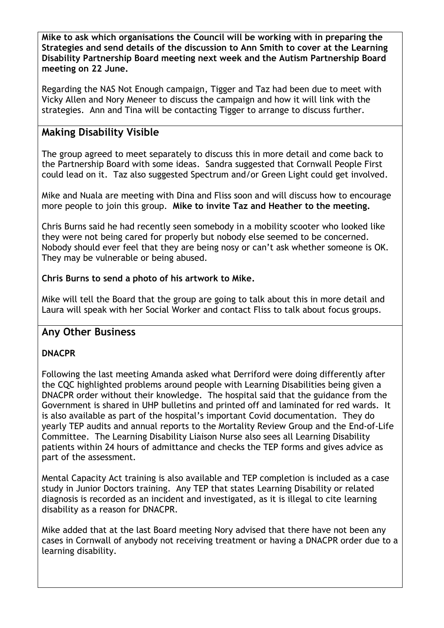**Mike to ask which organisations the Council will be working with in preparing the Strategies and send details of the discussion to Ann Smith to cover at the Learning Disability Partnership Board meeting next week and the Autism Partnership Board meeting on 22 June.**

Regarding the NAS Not Enough campaign, Tigger and Taz had been due to meet with Vicky Allen and Nory Meneer to discuss the campaign and how it will link with the strategies. Ann and Tina will be contacting Tigger to arrange to discuss further.

# **Making Disability Visible**

The group agreed to meet separately to discuss this in more detail and come back to the Partnership Board with some ideas. Sandra suggested that Cornwall People First could lead on it. Taz also suggested Spectrum and/or Green Light could get involved.

Mike and Nuala are meeting with Dina and Fliss soon and will discuss how to encourage more people to join this group. **Mike to invite Taz and Heather to the meeting.**

Chris Burns said he had recently seen somebody in a mobility scooter who looked like they were not being cared for properly but nobody else seemed to be concerned. Nobody should ever feel that they are being nosy or can't ask whether someone is OK. They may be vulnerable or being abused.

### **Chris Burns to send a photo of his artwork to Mike.**

Mike will tell the Board that the group are going to talk about this in more detail and Laura will speak with her Social Worker and contact Fliss to talk about focus groups.

# **Any Other Business**

### **DNACPR**

Following the last meeting Amanda asked what Derriford were doing differently after the CQC highlighted problems around people with Learning Disabilities being given a DNACPR order without their knowledge. The hospital said that the guidance from the Government is shared in UHP bulletins and printed off and laminated for red wards. It is also available as part of the hospital's important Covid documentation. They do yearly TEP audits and annual reports to the Mortality Review Group and the End-of-Life Committee. The Learning Disability Liaison Nurse also sees all Learning Disability patients within 24 hours of admittance and checks the TEP forms and gives advice as part of the assessment.

Mental Capacity Act training is also available and TEP completion is included as a case study in Junior Doctors training. Any TEP that states Learning Disability or related diagnosis is recorded as an incident and investigated, as it is illegal to cite learning disability as a reason for DNACPR.

Mike added that at the last Board meeting Nory advised that there have not been any cases in Cornwall of anybody not receiving treatment or having a DNACPR order due to a learning disability.